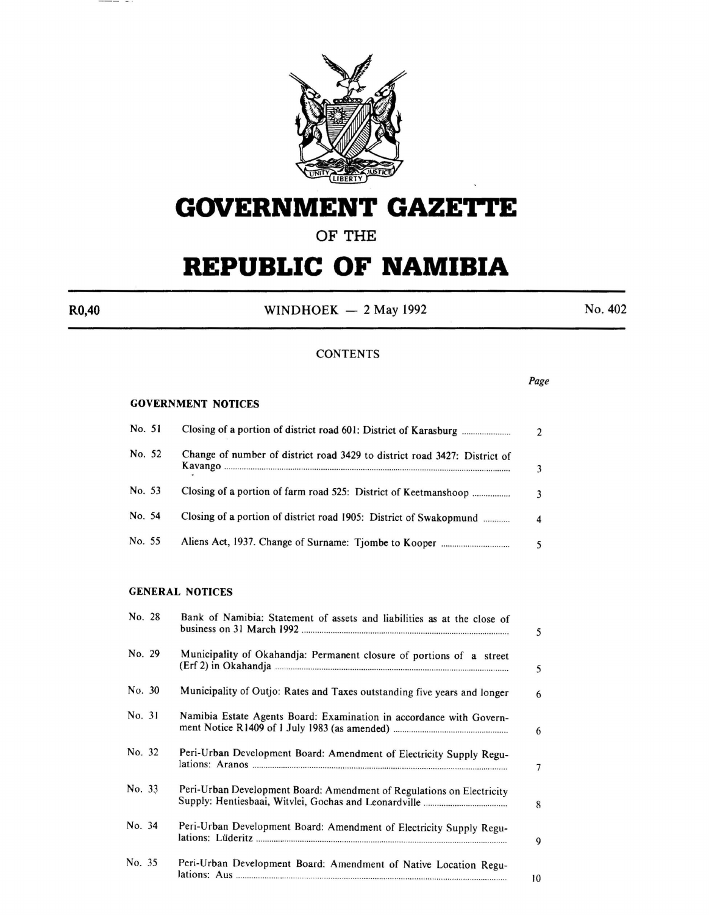

## **GOVERNMENT GAZETTE**

**OF THE** 

# **REPUBLIC OF NAMIBIA**

 $R0,40$  WINDHOEK - 2 May 1992 No. 402

#### **CONTENTS**

*Page* 

#### GOVERNMENT NOTICES

| No. 51 |                                                                           | $\mathfrak{D}$ |
|--------|---------------------------------------------------------------------------|----------------|
| No. 52 | Change of number of district road 3429 to district road 3427: District of |                |
| No. 53 | Closing of a portion of farm road 525: District of Keetmanshoop           |                |
| No. 54 | Closing of a portion of district road 1905: District of Swakopmund        |                |
| No. 55 |                                                                           |                |

#### GENERAL NOTICES

|        |                                                                          | 5  |
|--------|--------------------------------------------------------------------------|----|
| No. 29 | Municipality of Okahandja: Permanent closure of portions of a street     | 5  |
| No. 30 | Municipality of Outjo: Rates and Taxes outstanding five years and longer | 6  |
| No. 31 | Namibia Estate Agents Board: Examination in accordance with Govern-      | 6  |
| No. 32 | Peri-Urban Development Board: Amendment of Electricity Supply Regu-      | 7  |
| No. 33 | Peri-Urban Development Board: Amendment of Regulations on Electricity    | 8  |
| No. 34 | Peri-Urban Development Board: Amendment of Electricity Supply Regu-      | 9  |
| No. 35 | Peri-Urban Development Board: Amendment of Native Location Regu-         | 10 |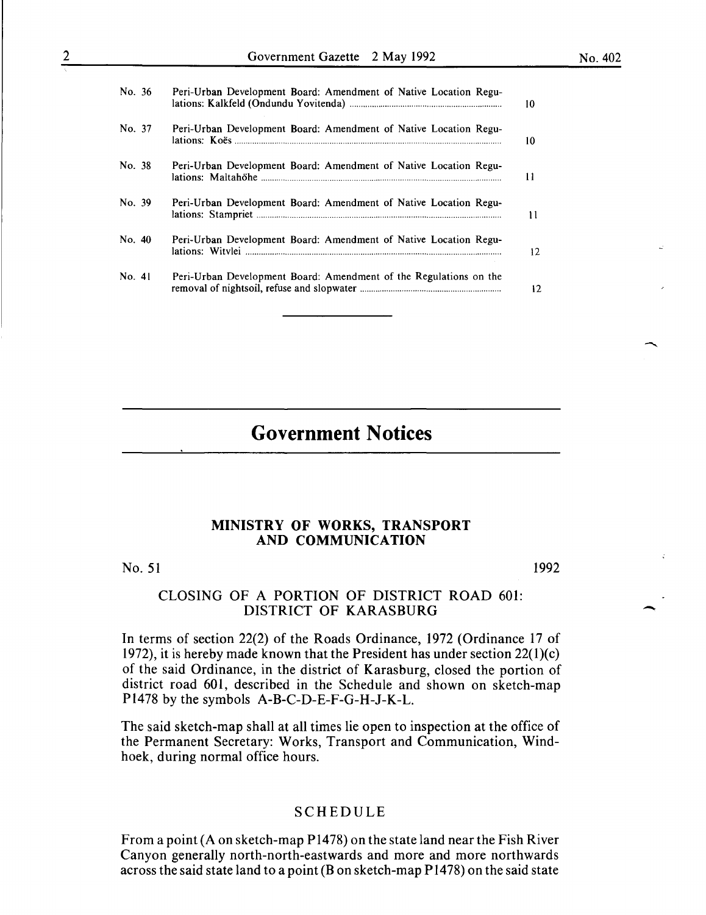| No. 36 | Peri-Urban Development Board: Amendment of Native Location Regu-  |
|--------|-------------------------------------------------------------------|
| No. 37 | Peri-Urban Development Board: Amendment of Native Location Regu-  |
| No. 38 | Peri-Urban Development Board: Amendment of Native Location Regu-  |
| No. 39 | Peri-Urban Development Board: Amendment of Native Location Regu-  |
| No. 40 | Peri-Urban Development Board: Amendment of Native Location Regu-  |
| No. 41 | Peri-Urban Development Board: Amendment of the Regulations on the |

## **Government Notices**

#### **MINISTRY OF WORKS, TRANSPORT AND COMMUNICATION**

#### No. 51

1992

-

#### CLOSING OF A PORTION OF DISTRICT ROAD 601: DISTRICT OF KARASBURG

In terms of section 22(2) of the Roads Ordinance, 1972 (Ordinance 17 of 1972), it is hereby made known that the President has under section  $22(1)(c)$ of the said Ordinance, in the district of Karasburg, closed the portion of district road 601, described in the Schedule and shown on sketch-map Pl478 by the symbols A-B-C-D-E-F-G-H-1-K-L.

The said sketch-map shall at all times lie open to inspection at the office of the Permanent Secretary: Works, Transport and Communication, Windhoek, during normal office hours.

#### SCHEDULE

From a point (A on sketch-map P1478) on the state land near the Fish River Canyon generally north-north-eastwards and more and more northwards across the said state land to a point (B on sketch-map P1478) on the said state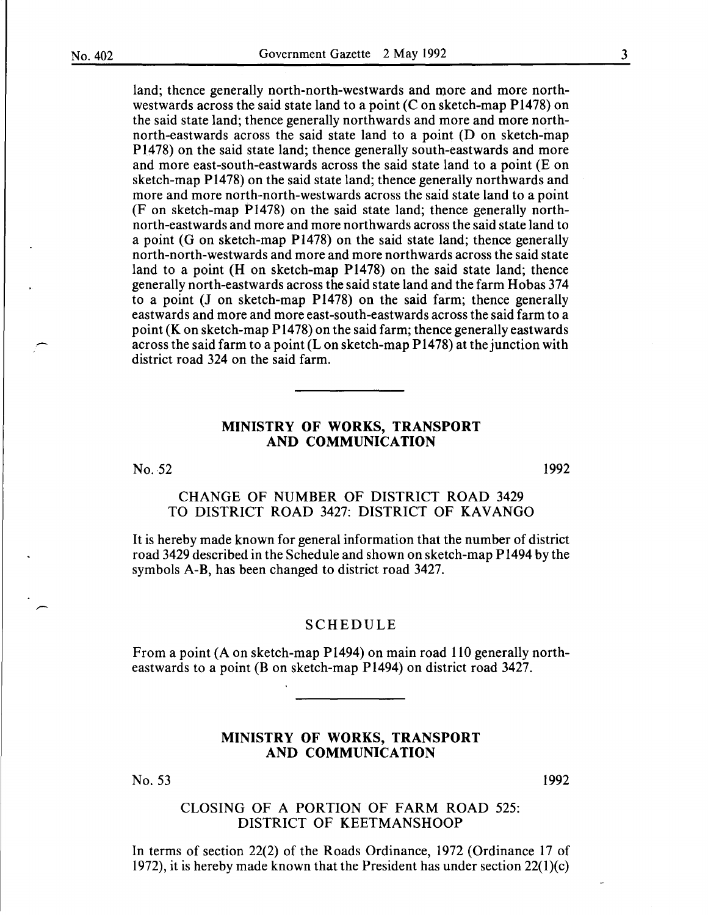land; thence generally north-north-westwards and more and more northwestwards across the said state land to a point  $(C \text{ on sketch-map } P1478)$  on the said state land; thence generally northwards and more and more northnorth-eastwards across the said state land to a point (D on sketch-map P1478) on the said state land; thence generally south-eastwards and more and more east-south-eastwards across the said state land to a point (E on sketch-map P1478) on the said state land; thence generally northwards and more and more north-north-westwards across the said state land to a point (F on sketch-map P1478) on the said state land; thence generally northnorth-eastwards and more and more northwards across the said state land to a point (G on sketch-map P1478) on the said state land; thence generally north-north-westwards and more and more northwards across the said state land to a point (H on sketch-map P1478) on the said state land; thence generally north-eastwards across the said state land and the farm Hobas 374 to a point (J on sketch-map P1478) on the said farm; thence generally eastwards and more and more east-south-eastwards across the said farm to a point (K on sketch-map P1478) on the said farm; thence generally eastwards across the said farm to a point (L on sketch-map P1478) at the junction with district road 324 on the said farm.

### MINISTRY OF WORKS, TRANSPORT AND COMMUNICATION

No. 52

1992

## CHANGE OF NUMBER OF DISTRICT ROAD 3429 TO DISTRICT ROAD 3427: DISTRICT OF KAVANGO

It is hereby made known for general information that the number of district road 3429 described in the Schedule and shown on sketch-map P1494 by the symbols A-B, has been changed to district road 3427.

#### SCHEDULE

From a point (A on sketch-map P1494) on main road 110 generally northeastwards to a point (B on sketch-map P1494) on district road 3427.

#### MINISTRY OF WORKS, TRANSPORT AND COMMUNICATION

No. 53

1992

## CLOSING OF A PORTION OF FARM ROAD 525: DISTRICT OF KEETMANSHOOP

In terms of section 22(2) of the Roads Ordinance, 1972 (Ordinance 17 of 1972), it is hereby made known that the President has under section  $22(1)(c)$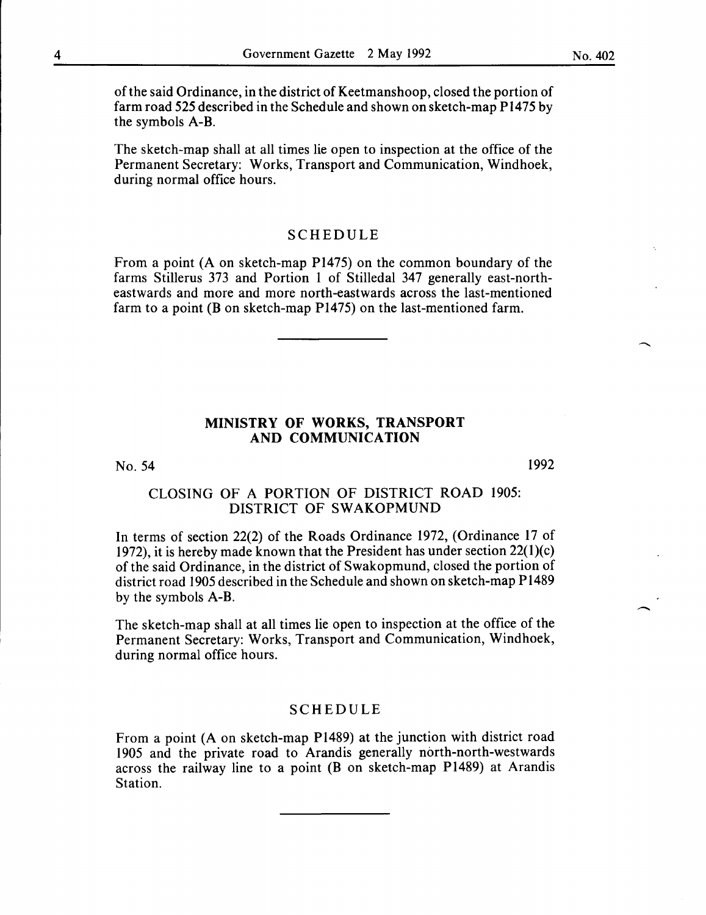of the said Ordinance, in the district of Keetmanshoop, closed the portion of farm road 525 described in the Schedule and shown on sketch-map Pl475 by the symbols A-B.

The sketch-map shall at all times lie open to inspection at the office of the Permanent Secretary: Works, Transport and Communication, Windhoek, during normal office hours.

## SCHEDULE

From a point (A on sketch-map Pl475) on the common boundary of the farms Stillerus 373 and Portion I of Stilledal 347 generally east-northeastwards and more and more north-eastwards across the last-mentioned farm to a point (B on sketch-map P1475) on the last-mentioned farm.

#### **MINISTRY OF WORKS, TRANSPORT AND COMMUNICATION**

No. 54

1992

 $\overline{\phantom{a}}$ 

## CLOSING OF A PORTION OF DISTRICT ROAD 1905: DISTRICT OF SWAKOPMUND

In terms of section 22(2) of the Roads Ordinance 1972, (Ordinance 17 of 1972), it is hereby made known that the President has under section 22(l)(c) of the said Ordinance, in the district of Swakopmund, closed the portion of district road 1905 described in the Schedule and shown on sketch-map Pl489 by the symbols A-B.

The sketch-map shall at all times lie open to inspection at the office of the Permanent Secretary: Works, Transport and Communication, Windhoek, during normal office hours.

## SCHEDULE

From a point (A on sketch-map Pl489) at the junction with district road 1905 and the private road to Arandis generally north-north-westwards across the railway line to a point (B on sketch-map Pl489) at Arandis Station.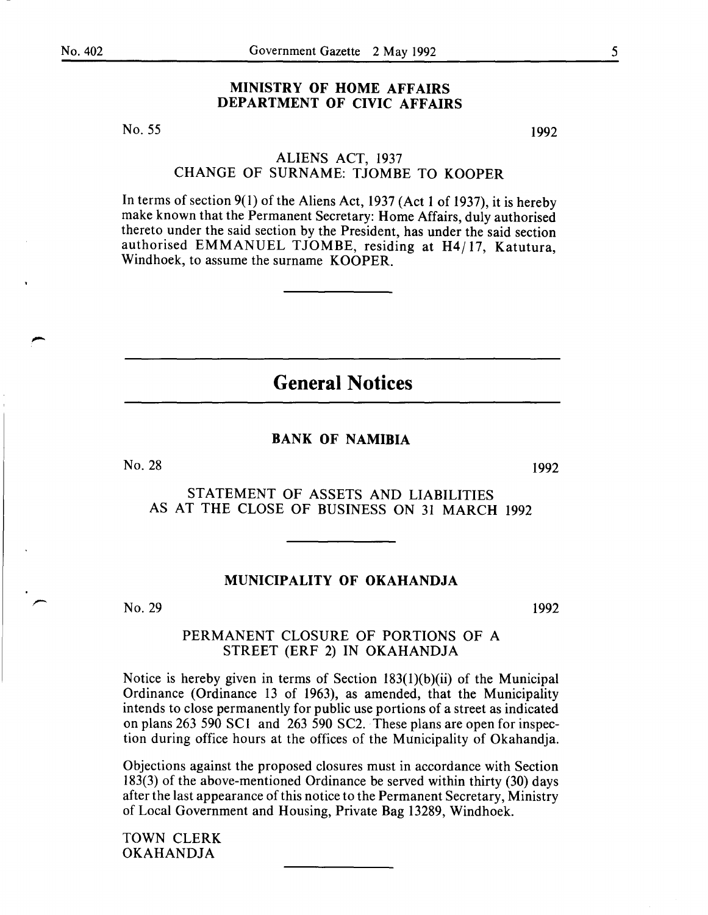## MINISTRY OF HOME AFFAIRS DEPARTMENT OF CIVIC AFFAIRS

No. 55

1992

## ALIENS ACT, 1937 CHANGE OF SURNAME: TJOMBE TO KOOPER

In terms of section 9(1) of the Aliens Act, 1937 (Act 1 of 1937), it is hereby make known that the Permanent Secretary: Home Affairs, duly authorised thereto under the said section by the President, has under the said section authorised EMMANUEL TJOMBE, residing at H4/ 17, Katutura, Windhoek, to assume the surname KOOPER.

**General Notices** 

#### BANK OF NAMIBIA

No. 28

1992

STATEMENT OF ASSETS AND LIABILITIES AS AT THE CLOSE OF BUSINESS ON 31 MARCH 1992

#### MUNICIPALITY OF OKAHANDJA

No. 29

1992

#### PERMANENT CLOSURE OF PORTIONS OF A STREET (ERF 2) IN OKAHANDJA

Notice is hereby given in terms of Section 183(1)(b)(ii) of the Municipal Ordinance (Ordinance 13 of 1963), as amended, that the Municipality intends to close permanently for public use portions of a street as indicated on plans 263 590 SCI and 263 590 SC2. These plans are open for inspection during office hours at the offices of the Municipality of Okahandja.

Objections against the proposed closures must in accordance with Section 183(3) of the above-mentioned Ordinance be served within thirty (30) days after the last appearance of this notice to the Permanent Secretary, Ministry of Local Government and Housing, Private Bag 13289, Windhoek.

TOWN CLERK OKAHANDJA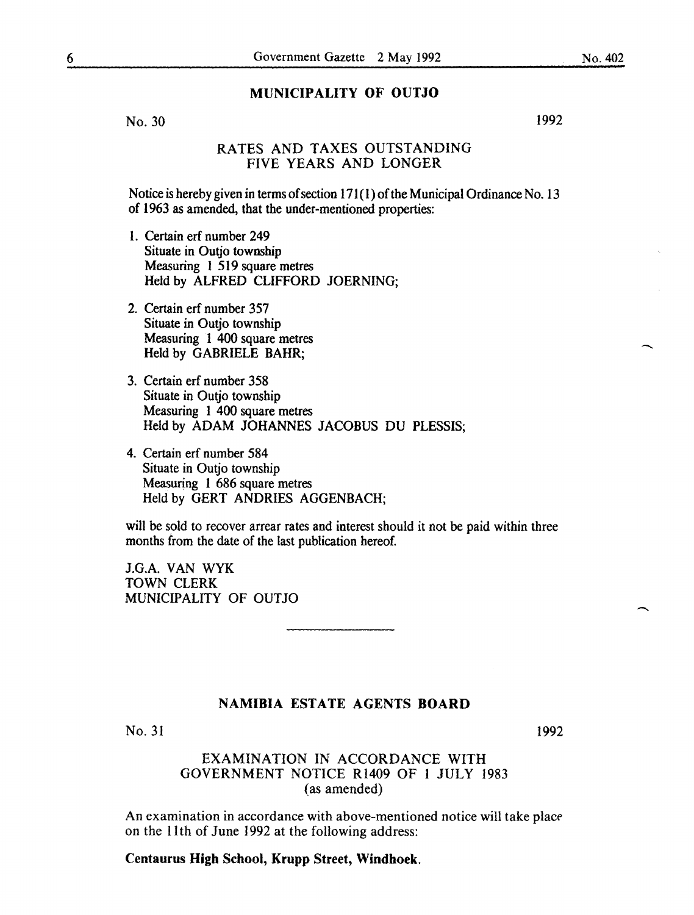## MUNICIPALITY OF OUTJO

No. 30

1992

## RATES AND TAXES OUTSTANDING FIVE YEARS AND LONGER

Notice is hereby given in terms of section  $171(1)$  of the Municipal Ordinance No. 13 of 1963 as amended, that the under-mentioned properties:

- I. Certain erf number 249 Situate in Outjo township Measuring 1 519 square metres Held by ALFRED CLIFFORD JOERNING;
- 2. Certain erf number 357 Situate in Outio township Measuring 1 400 square metres Held by GABRIELE BAHR;
- 3. Certain erf number 358 Situate in Outio township Measuring 1 400 square metres Held by ADAM JOHANNES JACOBUS DU PLESSIS;
- 4. Certain erf number 584 Situate in Outio township Measuring 1 686 square metres Held by GERT ANDRIES AGGENBACH;

will be sold to recover arrear rates and interest should it not be paid within three months from the date of the last publication hereof.

J.G.A. VAN WYK TOWN CLERK MUNICIPALITY OF OUTJO

## NAMIBIA ESTATE AGENTS BOARD

No. 31

1992

## EXAMINATION IN ACCORDANCE WITH GOVERNMENT NOTICE Rl409 OF I JULY 1983 (as amended)

An examination in accordance with above-mentioned notice will take placr on the lith of June 1992 at the following address:

## Centaurus High School, Krupp Street, Windhoek.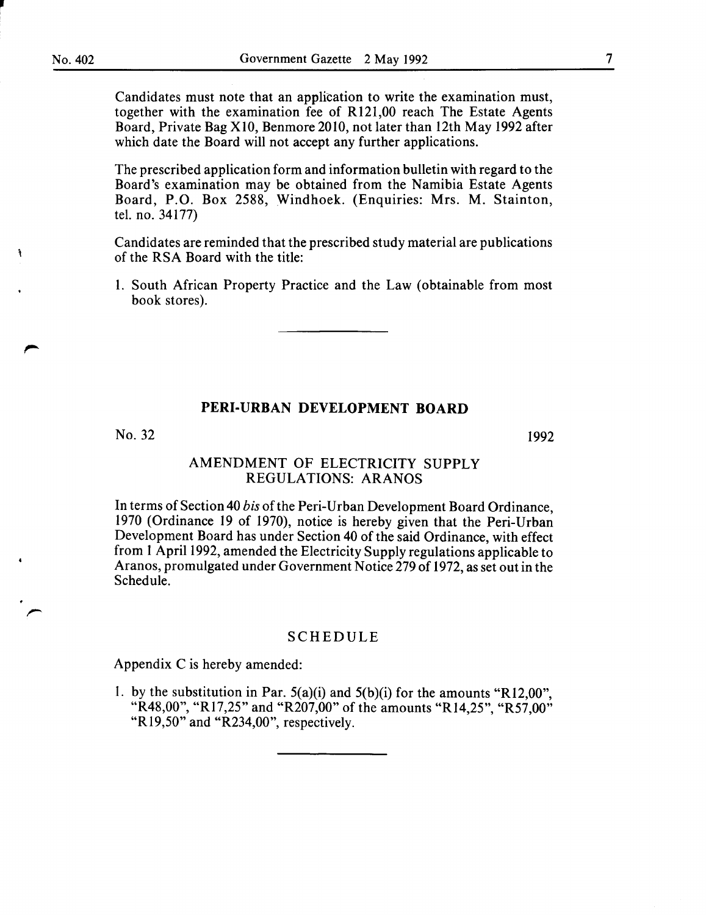**J** 

ă,

Candidates must note that an application to write the examination must, together with the examination fee of R121,00 reach The Estate Agents Board, Private Bag XIO, Benmore 2010, not later than 12th May 1992 after which date the Board will not accept any further applications.

The prescribed application form and information bulletin with regard to the Board's examination may be obtained from the Namibia Estate Agents Board, P.O. Box 2588, Windhoek. (Enquiries: Mrs. M. Stainton, tel. no. 34177)

Candidates are reminded that the prescribed study material are publications of the RSA Board with the title:

1. South African Property Practice and the Law (obtainable from most book stores).

#### **PERI-URBAN DEVELOPMENT BOARD**

No. 32

1992

## AMENDMENT OF ELECTRICITY SUPPLY REGULATIONS: ARANOS

In terms of Section 40 *his* of the Peri-Urban Development Board Ordinance, 1970 (Ordinance 19 of 1970), notice is hereby given that the Peri-Urban Development Board has under Section 40 of the said Ordinance, with effect from 1 April1992, amended the Electricity Supply regulations applicable to Aranos, promulgated under Government Notice 279 of 1972, as set out in the Schedule.

#### SCHEDULE

Appendix Cis hereby amended:

1. by the substitution in Par.  $5(a)(i)$  and  $5(b)(i)$  for the amounts "R12,00", "R48,00", "R17,25" and "R207,00" of the amounts "R14,25", "R57,00" "Rl9,50" and "R234,00", respectively.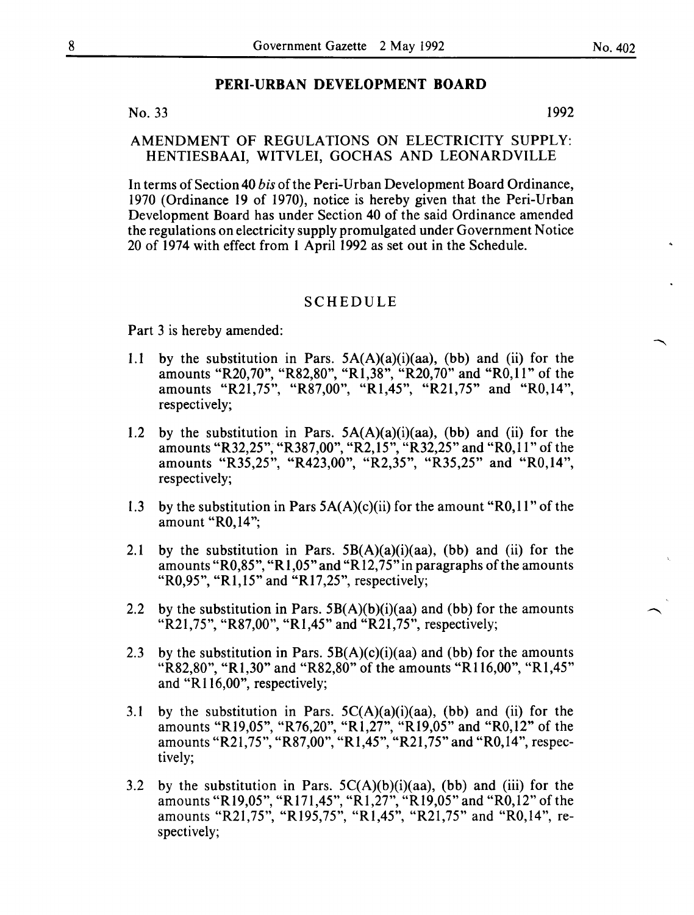## No. 33 1992

#### AMENDMENT OF REGULATIONS ON ELECTRICITY SUPPLY: HENTIESBAAI, WITVLEI, GOCHAS AND LEONARDVILLE

In terms of Section 40 *bis* of the Peri-Urban Development Board Ordinance, 1970 (Ordinance 19 of 1970), notice is hereby given that the Peri-Urban Development Board has under Section 40 of the said Ordinance amended the regulations on electricity supply promulgated under Government Notice 20 of 1974 with effect from 1 April 1992 as set out in the Schedule.

#### SCHEDULE

Part 3 is hereby amended:

- 1.1 by the substitution in Pars.  $5A(A)(a)(i)(aa)$ , (bb) and (ii) for the amounts "R20,70", "R82,80", "R1,38", "R20,70" and "R0,11" of the amounts "R21,75", "R87,00", "R1,45", "R21,75" and "R0,14", respectively;
- 1.2 by the substitution in Pars.  $5A(A)(a)(i)(aa)$ , (bb) and (ii) for the amounts "R32,25", "R387,00", "R2,15", "R32,25" and "R0,11" of the amounts "R35,25", "R423,00", "R2,35", "R35,25" and "R0,14", respectively;
- 1.3 by the substitution in Pars  $5A(A)(c)(ii)$  for the amount "R0,11" of the amount "R0,14";
- 2.1 by the substitution in Pars.  $5B(A)(a)(i)(aa)$ , (bb) and (ii) for the amounts "R0,85", "R1,05" and "R12,75" in paragraphs of the amounts "R0,95", "R1,15" and "R17,25", respectively;
- 2.2 by the substitution in Pars.  $5B(A)(b)(i)(aa)$  and (bb) for the amounts "R21,75", "R87,00", "R1,45" and "R21,75", respectively;
- 2.3 by the substitution in Pars.  $5B(A)(c)(i)(aa)$  and (bb) for the amounts "R82,80", "R1,30" and "R82,80" of the amounts "R116,00", "R1,45" and "R116,00", respectively;
- 3.1 by the substitution in Pars.  $5C(A)(a)(i)(aa)$ , (bb) and (ii) for the amounts "R19,05", "R76,20", "R1,27", "R19,05" and "R0,12" of the amounts "R21,75", "R87,00", "R1,45", "R21,75" and "R0,14", respectively;
- 3.2 by the substitution in Pars.  $5C(A)(b)(i)(aa)$ , (bb) and (iii) for the amounts "R19,05", "R171,45", "R1,27", "R19,05" and "R0,12" of the amounts "R21,75", "Rl95,75", "Rl,45", "R21,75" and "RO,l4", respectively;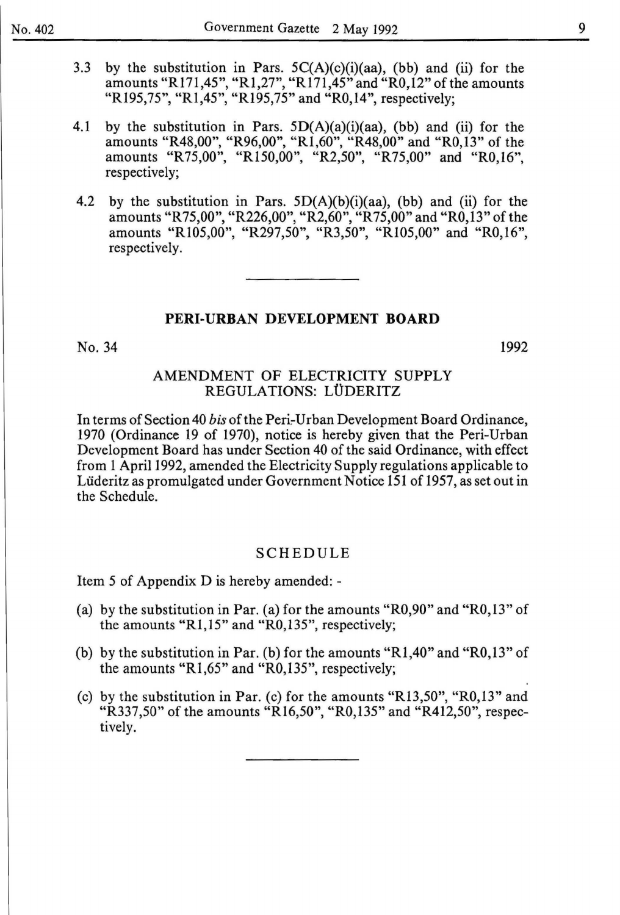- 3.3 by the substitution in Pars.  $5C(A)(c)(i)(aa)$ , (bb) and (ii) for the amounts "R171,45", "R1,27", "R171,45" and "R0,12" of the amounts "R195,75", "R1,45", "R195,75" and "R0,14", respectively;
- 4.1 by the substitution in Pars.  $5D(A)(a)(i)(aa)$ , (bb) and (ii) for the amounts "R48,00", "R96,00", "R1,60", "R48,00" and "R0,13" of the amounts "R75,00", "R150,00", "R2,50", "R75,00" and "R0,16", respectively;
- 4.2 by the substitution in Pars.  $5D(A)(b)(i)(aa)$ , (bb) and (ii) for the amounts "R75,00", "R226,00", "R2,60", "R75,00" and "RO,l3" of the amounts "R105,00", "R297,50", "R3,50", "R105,00" and "R0,16", respectively.

No. 34

1992

### AMENDMENT OF ELECTRICITY SUPPLY REGULATIONS: LÜDERITZ

In terms of Section 40 *bis* of the Peri-Urban Development Board Ordinance, 1970 (Ordinance 19 of 1970), notice is hereby given that the Peri-Urban Development Board has under Section 40 of the said Ordinance, with effect from 1 April1992, amended the Electricity Supply regulations applicable to Liideritz as promulgated under Government Notice 151 of 1957, as set out in the Schedule.

#### SCHEDULE

Item 5 of Appendix D is hereby amended: -

- (a) by the substitution in Par. (a) for the amounts "R0,90" and "R0,13" of the amounts "R1,15" and "RO,l35", respectively;
- (b) by the substitution in Par. (b) for the amounts "R1,40" and "R0,13" of the amounts "R1,65" and "RO,l35", respectively;
- (c) by the substitution in Par. (c) for the amounts "R13,50", "RO,l3" and "R337,50" of the amounts "Rl6,50", "RO,l35" and "R412,50", respectively.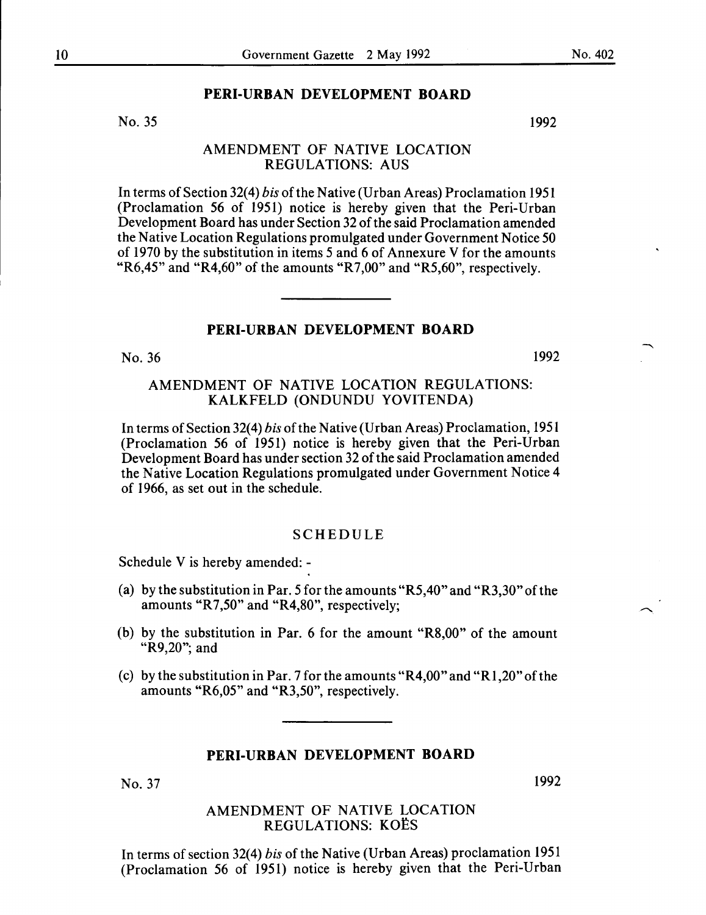No. 35

#### AMENDMENT OF NATIVE LOCATION REGULATIONS: AUS

In terms of Section 32(4) *bis* of the Native (Urban Areas) Proclamation 1951 (Proclamation 56 of 1951) notice is hereby given that the Peri-Urban Development Board has under Section 32 of the said Proclamation amended the Native Location Regulations promulgated under Government Notice 50 of 1970 by the substitution in items 5 and 6 of Annexure V for the amounts "R6,45" and "R4,60" of the amounts "R7,00" and "R5,60", respectively.

## **PERI-URBAN DEVELOPMENT BOARD**

No. 36 1992

## AMENDMENT OF NATIVE LOCATION REGULATIONS: KALKFELD (ONDUNDU YOVITENDA)

In terms of Section 32(4) *bis* of the Native (Urban Areas) Proclamation, 1951 (Proclamation 56 of 1951) notice is hereby given that the Peri-Urban Development Board has under section 32 of the said Proclamation amended the Native Location Regulations promulgated under Government Notice 4 of 1966, as set out in the schedule.

#### SCHEDULE

Schedule V is hereby amended: -

- (a) by the substitution in Par. 5 for the amounts "R5,40" and "R3,30" of the amounts "R7,50" and "R4,80", respectively;
- (b) by the substitution in Par. 6 for the amount "R8,00" of the amount "R9,20"; and
- (c) by the substitution in Par. 7 for the amounts "R4,00" and "R1,20" of the amounts "R6,05" and "R3,50", respectively.

### **PERI-URBAN DEVELOPMENT BOARD**

No. 37

1992

#### AMENDMENT OF NATIVE LOCATION REGULATIONS: KOËS

In terms of section 32(4) *bis* of the Native (Urban Areas) proclamation 1951 (Proclamation 56 of 1951) notice is hereby given that the Peri-Urban

1992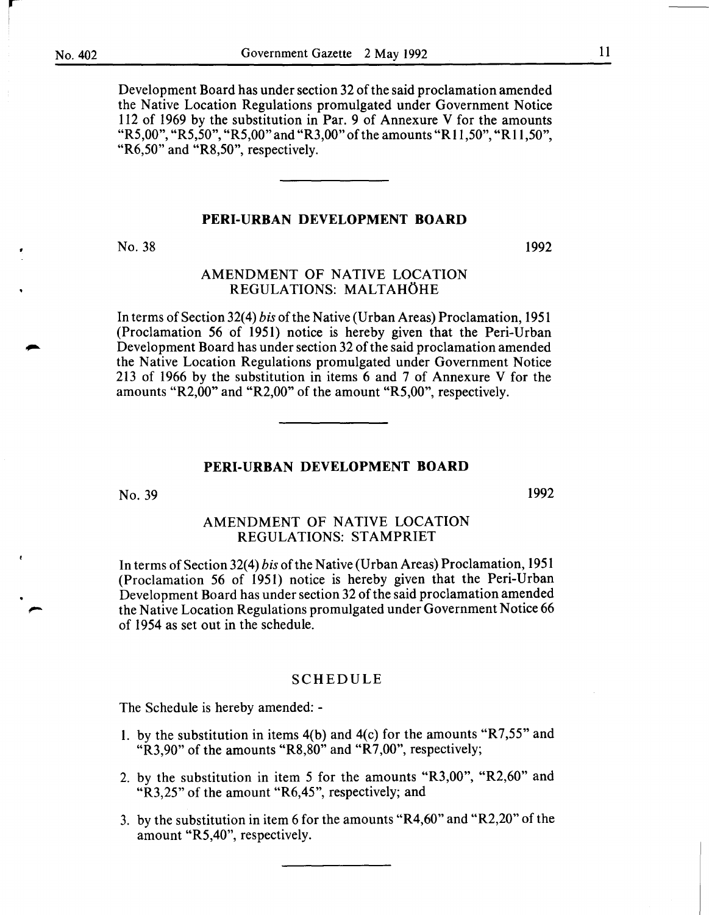*r-*

Development Board has under section 32 of the said proclamation amended the Native Location Regulations promulgated under Government Notice 112 of 1969 by the substitution in Par. 9 of Annexure V for the amounts "R5,00", "R5,50", "R5,00" and "R3,00" of the amounts "R11,50", "R11,50", "R6,50" and "R8,50", respectively.

#### PERI-URBAN DEVELOPMENT BOARD

No. 38

1992

## AMENDMENT OF NATIVE LOCATION REGULATIONS: MALTAHÖHE

In terms of Section 32(4) *bis* of the Native (Urban Areas) Proclamation, 1951 (Proclamation 56 of 1951) notice is hereby given that the Peri-Urban Development Board has under section 32 of the said proclamation amended the Native Location Regulations promulgated under Government Notice 213 of 1966 by the substitution in items 6 and 7 of Annexure V for the amounts "R2,00" and "R2,00" of the amount "R5,00", respectively.

#### PERI-URBAN DEVELOPMENT BOARD

No. 39

1992

#### AMENDMENT OF NATIVE LOCATION REGULATIONS: STAMPRIET

In terms of Section 32(4) *bis* of the Native (Urban Areas) Proclamation, 1951 (Proclamation 56 of 1951) notice is hereby given that the Peri-Urban Development Board has under section 32 of the said proclamation amended the Native Location Regulations promulgated under Government Notice 66 of 1954 as set out in the schedule.

#### SCHEDULE

The Schedule is hereby amended:-

- I. by the substitution in items 4(b) and 4(c) for the amounts "R7,55" and "R3,90" of the amounts "R8,80" and "R7,00", respectively;
- 2. by the substitution in item *5* for the amounts "R3,00", "R2,60" and "R3,25" of the amount "R6,45", respectively; and
- 3. by the substitution in item 6 for the amounts "R4,60" and "R2,20" of the amount "R5,40", respectively.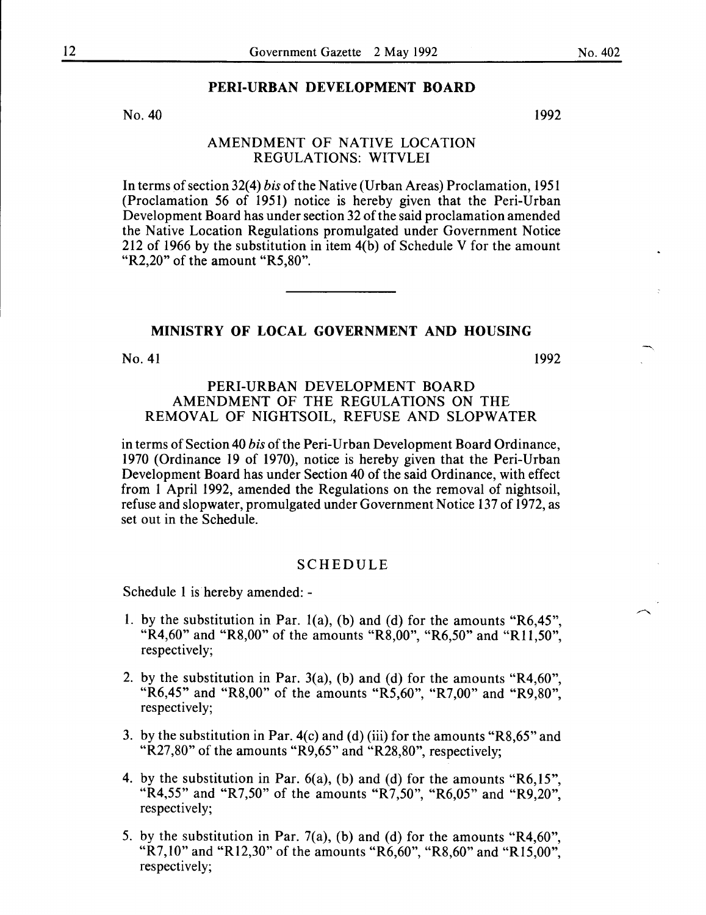No. 40

## AMENDMENT OF NATIVE LOCATION REGULATIONS: WITVLEI

In terms of section 32(4) *bis* of the Native (Urban Areas) Proclamation, 1951 (Proclamation 56 of 1951) notice is hereby given that the Peri-Urban Development Board has under section 32 of the said proclamation amended the Native Location Regulations promulgated under Government Notice 212 of 1966 by the substitution in item 4(b) of Schedule V for the amount "R2,20" of the amount "R5,80".

#### MINISTRY OF LOCAL GOVERNMENT AND HOUSING

 $No. 41$  1992

#### PERI-URBAN DEVELOPMENT BOARD AMENDMENT OF THE REGULATIONS ON THE REMOVAL OF NIGHTSOIL, REFUSE AND SLOPWATER

in terms of Section 40 *his* of the Peri-Urban Development Board Ordinance, 1970 (Ordinance 19 of 1970), notice is hereby given that the Peri-Urban Development Board has under Section 40 of the said Ordinance, with effect from 1 April 1992, amended the Regulations on the removal of nightsoil, refuse and slopwater, promulgated under Government Notice 137 of 1972, as set out in the Schedule.

#### SCHEDULE

Schedule 1 is hereby amended: -

- 1. by the substitution in Par. 1(a), (b) and (d) for the amounts "R6,45", "R4,60" and "R8,00" of the amounts "R8,00", "R6,50" and "R11,50", respectively;
- 2. by the substitution in Par. 3(a), (b) and (d) for the amounts "R4,60", "R6,45" and "R8,00" of the amounts "R5,60", "R7,00" and "R9,80", respectively;
- 3. by the substitution in Par. 4(c) and (d) (iii) for the amounts "R8,65" and "R27,80" of the amounts "R9,65" and "R28,80", respectively;
- 4. by the substitution in Par. 6(a), (b) and (d) for the amounts "R6,15", "R4,55" and "R7,50" of the amounts "R7,50", "R6,05" and "R9,20", respectively;
- 5. by the substitution in Par. 7(a), (b) and (d) for the amounts "R4,60", "R7,10" and "R12,30" of the amounts "R6,60", "R8,60" and "R15,00", respectively;

1992